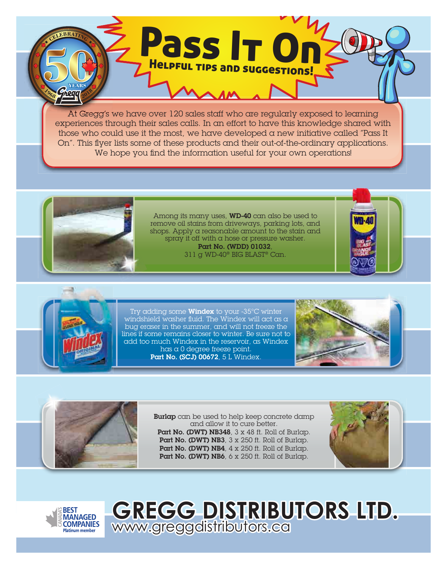At Gregg's we have over 120 sales staff who are regularly exposed to learning experiences through their sales calls. In an effort to have this knowledge shared with those who could use it the most, we have developed a new initiative called "Pass It On". This flyer lists some of these products and their out-of-the-ordinary applications. We hope you find the information useful for your own operations!

Pass It On

Helpful tips and suggestions!



Among its many uses, WD-40 can also be used to remove oil stains from driveways, parking lots, and shops. Apply a reasonable amount to the stain and spray it off with a hose or pressure washer. Part No. (WDD) 01032, 311 g WD-40® BIG BLAST® Can.





Try adding some Windex to your -35°C winter windshield washer fluid. The Windex will act as a bug eraser in the summer, and will not freeze the lines if some remains closer to winter. Be sure not to add too much Windex in the reservoir, as Windex has a 0 degree freeze point. Part No. (SCJ) 00672, 5 L Windex.

www.greggdistributors.ca





**Burlap** can be used to help keep concrete damp and allow it to cure better. Part No. (DWT) NB348, 3 x 48 ft. Roll of Burlap. Part No. (DWT) NB3, 3 x 250 ft. Roll of Burlap. Part No. (DWT) NB4, 4 x 250 ft. Roll of Burlap. Part No. (DWT) NB6, 6 x 250 ft. Roll of Burlap.

**GREGG DISTRIBUTORS LTD.**